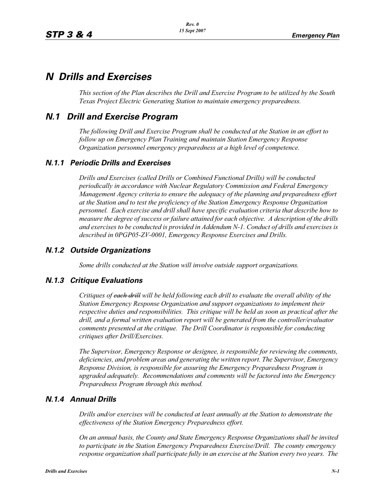# *N Drills and Exercises*

*This section of the Plan describes the Drill and Exercise Program to be utilized by the South Texas Project Electric Generating Station to maintain emergency preparedness.*

# *N.1 Drill and Exercise Program*

*The following Drill and Exercise Program shall be conducted at the Station in an effort to follow up on Emergency Plan Training and maintain Station Emergency Response Organization personnel emergency preparedness at a high level of competence.*

### *N.1.1 Periodic Drills and Exercises*

*Drills and Exercises (called Drills or Combined Functional Drills) will be conducted periodically in accordance with Nuclear Regulatory Commission and Federal Emergency Management Agency criteria to ensure the adequacy of the planning and preparedness effort at the Station and to test the proficiency of the Station Emergency Response Organization personnel. Each exercise and drill shall have specific evaluation criteria that describe how to measure the degree of success or failure attained for each objective. A description of the drills and exercises to be conducted is provided in Addendum N-1. Conduct of drills and exercises is described in 0PGP05-ZV-0001, Emergency Response Exercises and Drills.*

### *N.1.2 Outside Organizations*

*Some drills conducted at the Station will involve outside support organizations.* 

### *N.1.3 Critique Evaluations*

*Critiques of each drill will be held following each drill to evaluate the overall ability of the Station Emergency Response Organization and support organizations to implement their respective duties and responsibilities. This critique will be held as soon as practical after the drill, and a formal written evaluation report will be generated from the controller/evaluator comments presented at the critique. The Drill Coordinator is responsible for conducting critiques after Drill/Exercises.* 

*The Supervisor, Emergency Response or designee, is responsible for reviewing the comments, deficiencies, and problem areas and generating the written report. The Supervisor, Emergency Response Division, is responsible for assuring the Emergency Preparedness Program is upgraded adequately. Recommendations and comments will be factored into the Emergency Preparedness Program through this method.* 

### *N.1.4 Annual Drills*

*Drills and/or exercises will be conducted at least annually at the Station to demonstrate the effectiveness of the Station Emergency Preparedness effort.* 

*On an annual basis, the County and State Emergency Response Organizations shall be invited to participate in the Station Emergency Preparedness Exercise/Drill. The county emergency response organization shall participate fully in an exercise at the Station every two years. The*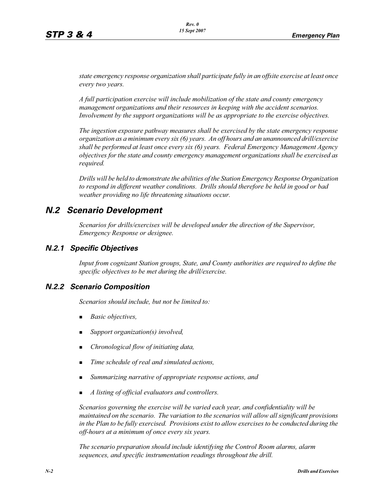*state emergency response organization shall participate fully in an offsite exercise at least once every two years.* 

*A full participation exercise will include mobilization of the state and county emergency management organizations and their resources in keeping with the accident scenarios. Involvement by the support organizations will be as appropriate to the exercise objectives.* 

*The ingestion exposure pathway measures shall be exercised by the state emergency response organization as a minimum every six (6) years. An off hours and an unannounced drill/exercise shall be performed at least once every six (6) years. Federal Emergency Management Agency objectives for the state and county emergency management organizations shall be exercised as required.*

*Drills will be held to demonstrate the abilities of the Station Emergency Response Organization to respond in different weather conditions. Drills should therefore be held in good or bad weather providing no life threatening situations occur.*

# *N.2 Scenario Development*

*Scenarios for drills/exercises will be developed under the direction of the Supervisor, Emergency Response or designee.* 

### *N.2.1 Specific Objectives*

*Input from cognizant Station groups, State, and County authorities are required to define the specific objectives to be met during the drill/exercise.*

### *N.2.2 Scenario Composition*

*Scenarios should include, but not be limited to:*

- -*Basic objectives,*
- -*Support organization(s) involved,*
- -*Chronological flow of initiating data,*
- -*Time schedule of real and simulated actions,*
- -*Summarizing narrative of appropriate response actions, and*
- -*A listing of official evaluators and controllers.*

*Scenarios governing the exercise will be varied each year, and confidentiality will be maintained on the scenario. The variation to the scenarios will allow all significant provisions in the Plan to be fully exercised. Provisions exist to allow exercises to be conducted during the off-hours at a minimum of once every six years.*

*The scenario preparation should include identifying the Control Room alarms, alarm sequences, and specific instrumentation readings throughout the drill.*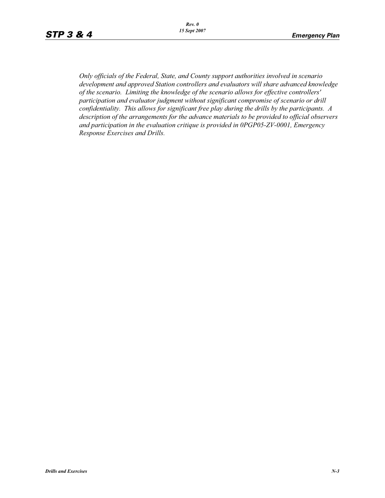*Only officials of the Federal, State, and County support authorities involved in scenario development and approved Station controllers and evaluators will share advanced knowledge of the scenario. Limiting the knowledge of the scenario allows for effective controllers' participation and evaluator judgment without significant compromise of scenario or drill confidentiality. This allows for significant free play during the drills by the participants. A description of the arrangements for the advance materials to be provided to official observers and participation in the evaluation critique is provided in 0PGP05-ZV-0001, Emergency Response Exercises and Drills.*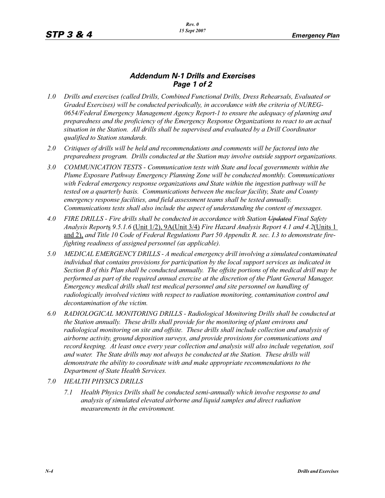## *Addendum N-1 Drills and Exercises Page 1 of 2*

- *1.0 Drills and exercises (called Drills, Combined Functional Drills, Dress Rehearsals, Evaluated or Graded Exercises) will be conducted periodically, in accordance with the criteria of NUREG-0654/Federal Emergency Management Agency Report-1 to ensure the adequacy of planning and preparedness and the proficiency of the Emergency Response Organizations to react to an actual situation in the Station. All drills shall be supervised and evaluated by a Drill Coordinator qualified to Station standards.*
- *2.0 Critiques of drills will be held and recommendations and comments will be factored into the preparedness program. Drills conducted at the Station may involve outside support organizations.*
- *3.0 COMMUNICATION TESTS Communication tests with State and local governments within the Plume Exposure Pathway Emergency Planning Zone will be conducted monthly. Communications with Federal emergency response organizations and State within the ingestion pathway will be tested on a quarterly basis. Communications between the nuclear facility, State and County emergency response facilities, and field assessment teams shall be tested annually. Communications tests shall also include the aspect of understanding the content of messages.*
- *4.0 FIRE DRILLS Fire drills shall be conducted in accordance with Station Updated Final Safety Analysis Report*s *9.5.1.6* (Unit 1/2), 9A(Unit 3/4) *Fire Hazard Analysis Report 4.1 and 4.2*(Units 1 and 2), *and Title 10 Code of Federal Regulations Part 50 Appendix R. sec. I.3 to demonstrate firefighting readiness of assigned personnel (as applicable).*
- *5.0 MEDICAL EMERGENCY DRILLS A medical emergency drill involving a simulated contaminated individual that contains provisions for participation by the local support services as indicated in Section B of this Plan shall be conducted annually. The offsite portions of the medical drill may be performed as part of the required annual exercise at the discretion of the Plant General Manager. Emergency medical drills shall test medical personnel and site personnel on handling of radiologically involved victims with respect to radiation monitoring, contamination control and decontamination of the victim.*
- *6.0 RADIOLOGICAL MONITORING DRILLS Radiological Monitoring Drills shall be conducted at the Station annually. These drills shall provide for the monitoring of plant environs and radiological monitoring on site and offsite. These drills shall include collection and analysis of airborne activity, ground deposition surveys, and provide provisions for communications and record keeping. At least once every year collection and analysis will also include vegetation, soil and water. The State drills may not always be conducted at the Station. These drills will demonstrate the ability to coordinate with and make appropriate recommendations to the Department of State Health Services.*
- *7.0 HEALTH PHYSICS DRILLS*
	- *7.1 Health Physics Drills shall be conducted semi-annually which involve response to and analysis of simulated elevated airborne and liquid samples and direct radiation measurements in the environment.*